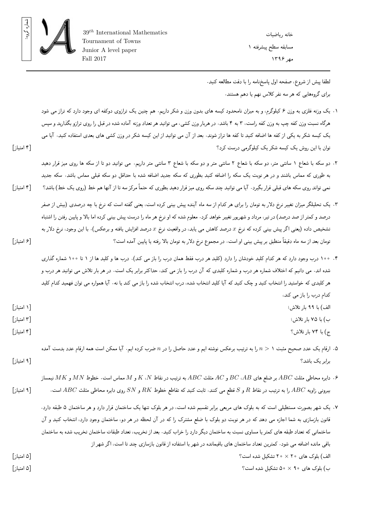

خانه ریاضیات مسابقه سطح پیشرفته ١ مهر ١٣٩۶

لطفا پيش از شروع، صفحه اول پاسخ نامه را با دقت مطالعه کنيد. برای گروه هایی که هر سه نفر کلاس نهم یا دهم هستند.

- .١ یک وزنه فلزی به وزن ۶ کیلوگرم، و به میزان نامحدود کیسه های بدون وزن و شکر داریم. هم چنین یک ترازوی دوکفه ای وجود دارد که تراز می شود هرگاه نسبت وزن کفه چپ به وزن کفه راست، ٣ به ۴ باشد. در هربار وزن کشی، می توانید هر تعداد وزنه آماده شده در قبل را روی ترازو بگذارید و سپس یک کیسه شکر به یکی از کفه ها اضافه کنید تا کفه ها تراز شوند. بعد از آن می توانید از این کیسه شکر در وزن کشی های بعدی استفاده کنید. آیا می توان با این روش یک کیسه شکر یک کیلوگرمی درست کرد؟ [۴ امتیاز]
- .٢ دو سکه با شعاع ١ سانتی متر، دو سکه با شعاع ٢ سانتی متر و دو سکه با شعاع ٣ سانتی متر داریم. می توانید دو تا از سکه ها روی میز قرار دهید به طوری که مماس باشند و در هر نوبت یک سکه را اضافه کنید بطوری که سکه جدید اضافه شده با حداقل دو سکه قبلی مماس باشد. سکه جدید نمی تواند روی سکه های قبلی قرار بگیرد. آیا می توانید چند سکه روی میز قرار دهید بطوری که حتماً مرکز سه تا از آنها هم خط (روی یک خط) باشد؟ [۴ امتیاز]
- .٣ یک تحلیلگر میزان تغییر نرخ دلار به تومان را برای هر کدام از سه ماه آینده پیش بینی کرده است، یعنی گفته است که نرخ با چه درصدی (بیش از صفر درصد و کمتر از صد درصد) در تیر، مرداد و شهریور تغییر خواهد کرد. معلوم شده که او نرخ هر ماه را درست پیش بینی کرده اما بالا و پایین رفتن را اشتباه تشخیص داده (یعنی اگر پیش بینی کرده که نرخ *x* درصد کاهش می یابد، در واقعیت نرخ *x* درصد افزایش یافته و برعکس). با این وجود، نرخ دلار به تومان بعد از سه ماه دقیقاً منطبق بر پیش بینی او است. در مجموع نرخ دلار به تومان بالا رفته یا پایین آمده است؟ [۶ امتیاز]
- .۴ ١٠٠ درب وجود دارد که هر کدام کلید خودشان را دارد (کلید هر درب فقط همان درب را باز می کند). درب ها و کلید ها از ١ تا ١٠٠ شماره گذاری شده اند. می دانیم که اختلاف شماره هر درب و شماره کلیدی که آن درب را باز می کند، حداکثر برابر یک است. در هر بار تلاش می توانید هر درب و هر کلیدی که خواستید را انتخاب کنید و چک کنید که آیا کلید انتخاب شده، درب انتخاب شده را باز می کند یا نه. آیا همواره می توان فهمید کدام کلید کدام درب را باز می کند، الف) با ٩٩ بار تلاش؛ [١ امتیاز] ب) با ٧۵ بار تلاش؛ [٣ امتیاز] ج) با ٧۴ بار تلاش؟ [۴ امتیاز]
- .۵ ارقام یک عدد صحیح مثبت ١ *< n* را به ترتیب برعکس نوشته ایم و عدد حاصل را در *n* ضرب کرده ایم. آیا ممکن است همه ارقام عدد بدست آمده برابر یک باشد؟ [٩ امتیاز]
- .۶ دایره محاطی مثلث *ABC* بر ضلع های *AB*، *BC* و *AC* مثلث *ABC* به ترتیب در نقاط *N*، *K* و *M* مماس است. خطوط *MN* و *MK* نیمساز بیرونی زاویه *ABC* را به ترتیب در نقاط *R* و *S* قطع می کنند. ثابت کنید که تقاطع خطوط *RK* و *SN* روی دایره محاطی مثلث *ABC* است. [٩ امتیاز]
- .٧ یک شهر بصورت مستطیلی است که به بلوک های مربعی برابر تقسیم شده است، در هر بلوک تنها یک ساختمان قرار دارد و هر ساختمان ۵ طبقه دارد. قانون بازسازی به شما اجازه می دهد که در هر نوبت دو بلوک با ضلع مشترک را که در آن لحظه در هر دو، ساختمان وجود دارد، انتخاب کنید و آن ساختمانی که تعداد طبقه های کمتر یا مساوی نسبت به ساختمان دیگر دارد را خراب کنید. بعد از تخریب، تعداد طبقات ساختمان تخریب شده به ساختمان باقی مانده اضافه می شود. کمترین تعداد ساختمان های باقیمانده در شهر با استفاده از قانون بازسازی چند تا است، اگر شهر از الف) بلوک های ٢٠ *×* ٢٠ تشکیل شده است؟ [۵ امتیاز] ب) بلوک های ٩٠ *×* ۵٠ تشکیل شده است؟ [۵ امتیاز]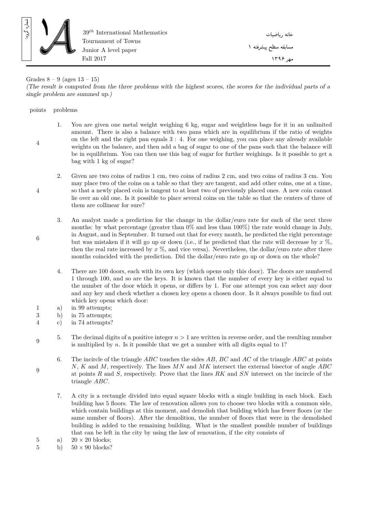

39*th* International Mathematics Tournament of Towns Junior A level paper Fall 2017

خانه ریاضیات مسابقه سطح پیشرفته ١ مهر ١٣٩۶

## Grades  $8 - 9$  (ages  $13 - 15$ )

*(The result is computed from the three problems with the highest scores, the scores for the individual parts of a single problem are summed up.)*

## points problems

4

4

6

9

- 1. You are given one metal weight weighing 6 kg, sugar and weightless bags for it in an unlimited amount. There is also a balance with two pans which are in equilibrium if the ratio of weights on the left and the right pan equals 3 : 4. For one weighing, you can place any already available weights on the balance, and then add a bag of sugar to one of the pans such that the balance will be in equilibrium. You can then use this bag of sugar for further weighings. Is it possible to get a bag with 1 kg of sugar?
	- 2. Given are two coins of radius 1 cm, two coins of radius 2 cm, and two coins of radius 3 cm. You may place two of the coins on a table so that they are tangent, and add other coins, one at a time, so that a newly placed coin is tangent to at least two of previously placed ones. A new coin cannot lie over an old one. Is it possible to place several coins on the table so that the centers of three of them are collinear for sure?

3. An analyst made a prediction for the change in the dollar/euro rate for each of the next three months: by what percentage (greater than 0% and less than 100%) the rate would change in July, in August, and in September. It turned out that for every month, he predicted the right percentage but was mistaken if it will go up or down (i.e., if he predicted that the rate will decrease by *x* %, then the real rate increased by *x* %, and vice versa). Nevertheless, the dollar/euro rate after three months coincided with the prediction. Did the dollar/euro rate go up or down on the whole?

- 4. There are 100 doors, each with its own key (which opens only this door). The doors are numbered 1 through 100, and so are the keys. It is known that the number of every key is either equal to the number of the door which it opens, or differs by 1. For one attempt you can select any door and any key and check whether a chosen key opens a chosen door. Is it always possible to find out which key opens which door:
- 1 a) in 99 attempts;
- 3 b) in 75 attempts;
- 4 c) in 74 attempts?
- 9 5. The decimal digits of a positive integer *n >* 1 are written in reverse order, and the resulting number is multiplied by  $n$ . Is it possible that we get a number with all digits equal to 1?
	- 6. The incircle of the triangle *ABC* touches the sides *AB*, *BC* and *AC* of the triangle *ABC* at points *N*, *K* and *M*, respectively. The lines *MN* and *MK* intersect the external bisector of angle *ABC* at points *R* and *S*, respectively. Prove that the lines *RK* and *SN* intersect on the incircle of the triangle *ABC*.
		- 7. A city is a rectangle divided into equal square blocks with a single building in each block. Each building has 5 floors. The law of renovation allows you to choose two blocks with a common side, which contain buildings at this moment, and demolish that building which has fewer floors (or the same number of floors). After the demolition, the number of floors that were in the demolished building is added to the remaining building. What is the smallest possible number of buildings that can be left in the city by using the law of renovation, if the city consists of
- 5 a)  $20 \times 20$  blocks;<br>5 b)  $50 \times 90$  blocks?
- $50 \times 90$  blocks?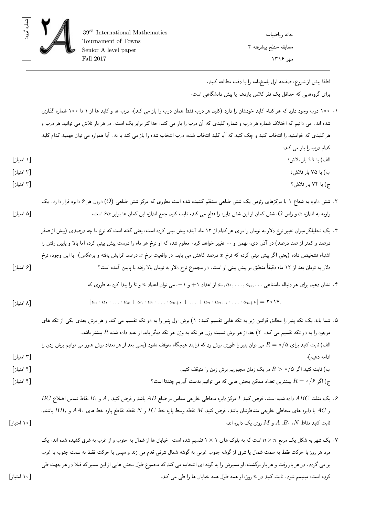

لطفا پيش از شروع، صفحه اول پاسخ نامه را با دقت مطالعه کنيد. برای گروه هایی که حداقل یک نفر کلاس یازدهم یا پیش دانشگاهی است.

- .١ ١٠٠ درب وجود دارد که هر کدام کلید خودشان را دارد (کلید هر درب فقط همان درب را باز می کند). درب ها و کلید ها از ١ تا ١٠٠ شماره گذاری شده اند. می دانیم که اختلاف شماره هر درب و شماره کلیدی که آن درب را باز می کند، حداکثر برابر یک است. در هر بار تلاش می توانید هر درب و هر کلیدی که خواستید را انتخاب کنید و چک کنید که آیا کلید انتخاب شده، درب انتخاب شده را باز می کند یا نه. آیا همواره می توان فهمید کدام کلید کدام درب را باز می کند، الف) با ٩٩ بار تلاش؛ [١ امتیاز] ب) با ٧۵ بار تلاش؛ [٢ امتیاز] ج) با ٧۴ بار تلاش؟ [٣ امتیاز] .٢ شش دایره به شعاع ١ با مرکزهای رئوس یک شش ضلعی منتظم کشیده شده است بطوری که مرکز شش ضلعی (*O* (درون هر ۶ دایره قرار دارد. یک زاویه به اندازه *α* و راس *O*، شش کمان از این شش دایره را قطع می کند. ثابت کنید جمع اندازه این کمان ها برابر *α*۶ است. [۵ امتیاز] .٣ یک تحلیلگر میزان تغییر نرخ دلار به تومان را برای هر کدام از ١٢ ماه آینده پیش بینی کرده است، یعنی گفته است که نرخ با چه درصدی (بیش از صفر درصد و کمتر از صد درصد) در آذر، دی، بهمن و ... تغییر خواهد کرد. معلوم شده که او نرخ هر ماه را درست پیش بینی کرده اما بالا و پایین رفتن را اشتباه تشخیص داده (یعنی اگر پیش بینی کرده که نرخ *x* درصد کاهش می یابد، در واقعیت نرخ *x* درصد افزایش یافته و برعکس). با این وجود، نرخ دلار به تومان بعد از ١٢ ماه دقیقاً منطبق بر پیش بینی او است. در مجموع نرخ دلار به تومان بالا رفته یا پایین آمده است؟ [۶ امتیاز] .۴ نشان دهید برای هر دنباله نامتناهی *. . . ,an , . . .* ١*,a* ٠*,a* از اعداد +١ و ،*−*١ می توان اعداد *n* و *k* را پیدا کرد به طوری که  $|a_{\sigma} \cdot a_1 \cdot \ldots \cdot a_k + a_1 \cdot a_1 \cdot \ldots \cdot a_{k+1} + \ldots + a_n \cdot a_{n+1} \cdot \ldots \cdot a_{n+k}| = \tau \circ \mathcal{W}.$ [٨ امتیاز] .۵ شما باید یک تکه پنیر را مطابق قوانین زیر به تکه هایی تقسیم کنید: ١) برش اول پنیر را به دو تکه تقسیم می کند و هر برش بعدی یکی از تکه های موجود را به دو تکه تقسیم می کند. ٢) بعد از هر برش نسبت وزن هر تکه به وزن هر تکه دیگر باید از عدد داده شده *R* بیشتر باشد. الف) ثابت کنید برای ٠*/*۵ = *R* می توان پنیر را طوری برش زد که فرایند هیچگاه متوقف نشود (یعنی بعد از هر تعداد برش هنوز می توانیم برش زدن را ادامه دهیم). [٣ امتیاز] ب) ثابت کنید اگر ٠*/*۵ *< R* در یک زمان مجبوریم برش زدن را متوقف کنیم. [۴ امتیاز] ج) اگر ٠*/*۶ = *R* بیشترین تعداد ممکن بخش هایی که می توانیم بدست آوریم چندتا است؟ [۴ امتیاز] .۶ یک مثلث *ABC* داده شده است. فرض کنید *I* مرکز دایره محاطی خارجی مماس بر ضلع *AB* باشد و فرض کنید <sup>١</sup>*A* و <sup>١</sup>*B* نقاط تماس اضلاع *BC* و *AC* با دایره های محاطی خارجی متناظرشان باشد. فرض کنید *M* نقطه وسط پاره خط *IC* و *N* نقطه تقاطع پاره خط های <sup>١</sup>*AA* و <sup>١</sup>*BB* باشند. ثابت کنید نقاط *N*، <sup>١</sup>*B*، *A* و *M* روی یک دایره اند. [١٠ امتیاز]
- .٧ یک شهر به شکل یک مربع *n × n* است که به بلوک های ١ *×* ١ تقسیم شده است. خیابان ها از شمال به جنوب و از غرب به شرق کشیده شده اند. یک مرد هر روز با حرکت فقط به سمت شمال یا شرق از گوشه جنوب غربی به گوشه شمال شرقی قدم می زند و سپس با حرکت فقط به سمت جنوب یا غرب بر می گردد. در هر بار رفت و هر بار برگشت، او مسیرش را به گونه ای انتخاب می کند که مجموع طول بخش هایی از این مسیر که قبلا در هر جهت طی کرده است، مینیمم شود. ثابت کنید در *n* روز، او همه طول همه خیابان ها را طی می کند. [١٠ امتیاز]